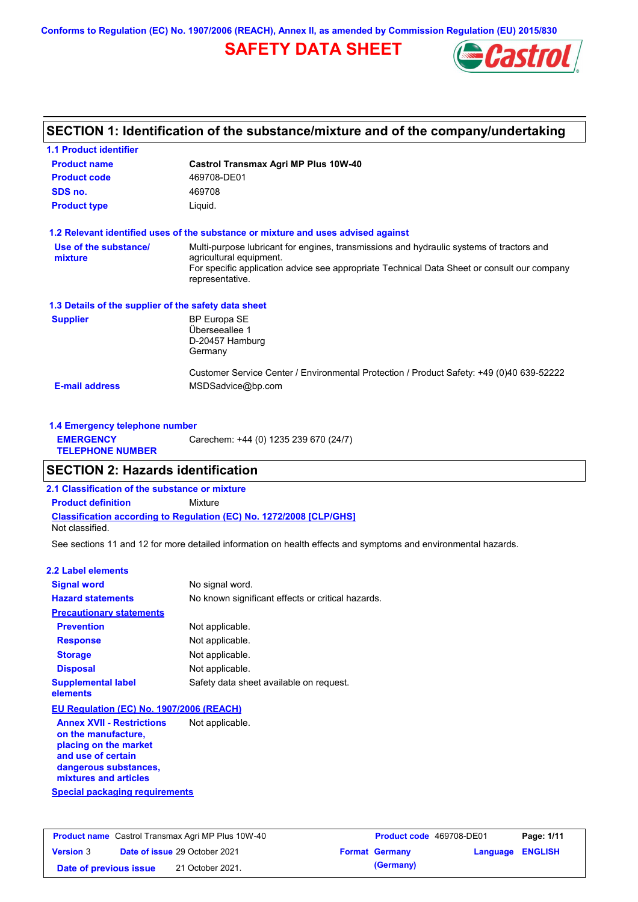**Conforms to Regulation (EC) No. 1907/2006 (REACH), Annex II, as amended by Commission Regulation (EU) 2015/830**

# **SAFETY DATA SHEET**



# **SECTION 1: Identification of the substance/mixture and of the company/undertaking**

| <b>1.1 Product identifier</b>                        |                                                                                                                     |
|------------------------------------------------------|---------------------------------------------------------------------------------------------------------------------|
| <b>Product name</b>                                  | Castrol Transmax Agri MP Plus 10W-40                                                                                |
| <b>Product code</b>                                  | 469708-DE01                                                                                                         |
| SDS no.                                              | 469708                                                                                                              |
| <b>Product type</b>                                  | Liquid.                                                                                                             |
|                                                      | 1.2 Relevant identified uses of the substance or mixture and uses advised against                                   |
| Use of the substance/<br>mixture                     | Multi-purpose lubricant for engines, transmissions and hydraulic systems of tractors and<br>agricultural equipment. |
|                                                      | For specific application advice see appropriate Technical Data Sheet or consult our company<br>representative.      |
| 1.3 Details of the supplier of the safety data sheet |                                                                                                                     |
| <b>Supplier</b>                                      | <b>BP Europa SE</b>                                                                                                 |
|                                                      | Überseeallee 1                                                                                                      |
|                                                      | D-20457 Hamburg                                                                                                     |
|                                                      | Germany                                                                                                             |
|                                                      | Customer Service Center / Environmental Protection / Product Safety: +49 (0)40 639-52222                            |
| <b>E-mail address</b>                                | MSDSadvice@bp.com                                                                                                   |
|                                                      |                                                                                                                     |
|                                                      |                                                                                                                     |

| 1.4 Emergency telephone number              |                                       |
|---------------------------------------------|---------------------------------------|
| <b>EMERGENCY</b><br><b>TELEPHONE NUMBER</b> | Carechem: +44 (0) 1235 239 670 (24/7) |

### **SECTION 2: Hazards identification**

**2.1 Classification of the substance or mixture**

**Classification according to Regulation (EC) No. 1272/2008 [CLP/GHS] Product definition** Mixture

Not classified.

See sections 11 and 12 for more detailed information on health effects and symptoms and environmental hazards.

### **2.2 Label elements**

| <b>Signal word</b>                       | No signal word.                                   |
|------------------------------------------|---------------------------------------------------|
| <b>Hazard statements</b>                 | No known significant effects or critical hazards. |
| <b>Precautionary statements</b>          |                                                   |
| <b>Prevention</b>                        | Not applicable.                                   |
| <b>Response</b>                          | Not applicable.                                   |
| <b>Storage</b>                           | Not applicable.                                   |
| <b>Disposal</b>                          | Not applicable.                                   |
| <b>Supplemental label</b><br>elements    | Safety data sheet available on request.           |
| EU Regulation (EC) No. 1907/2006 (REACH) |                                                   |
| <b>Annex XVII - Restrictions</b>         | Not applicable.                                   |

**Special packaging requirements** rictions **a on the manufacture, placing on the market and use of certain dangerous substances, mixtures and articles**

| <b>Product name</b> Castrol Transmax Agri MP Plus 10W-40 |  |                                      | <b>Product code</b> 469708-DE01 | Page: 1/11            |                         |  |
|----------------------------------------------------------|--|--------------------------------------|---------------------------------|-----------------------|-------------------------|--|
| <b>Version 3</b>                                         |  | <b>Date of issue 29 October 2021</b> |                                 | <b>Format Germany</b> | <b>Language ENGLISH</b> |  |
| Date of previous issue                                   |  | 21 October 2021.                     |                                 | (Germany)             |                         |  |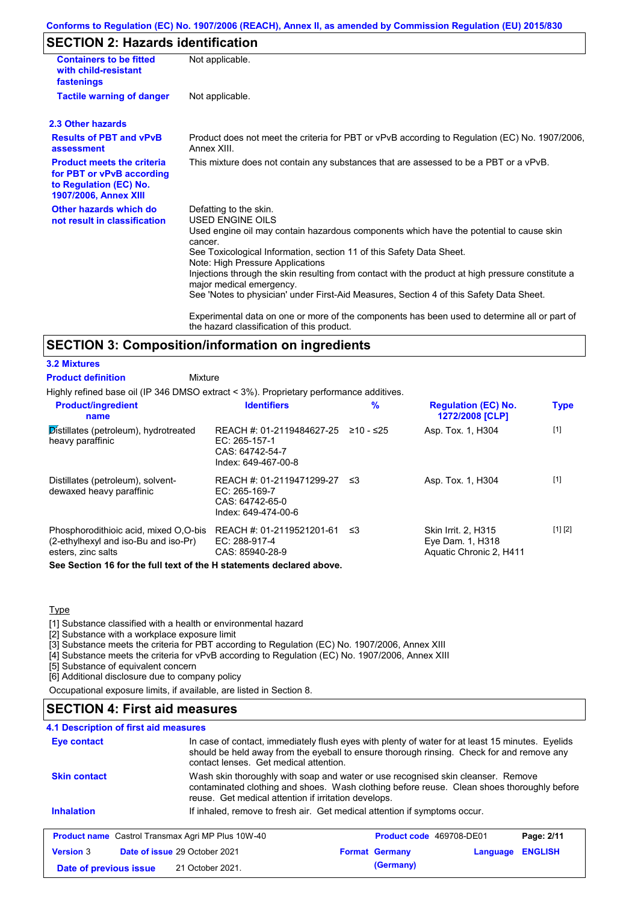### **Conforms to Regulation (EC) No. 1907/2006 (REACH), Annex II, as amended by Commission Regulation (EU) 2015/830**

# **SECTION 2: Hazards identification**

| <b>Containers to be fitted</b><br>with child-resistant<br>fastenings                                                     | Not applicable.                                                                                                                                                                                                                                                                                                                                                                                                                                                                                 |
|--------------------------------------------------------------------------------------------------------------------------|-------------------------------------------------------------------------------------------------------------------------------------------------------------------------------------------------------------------------------------------------------------------------------------------------------------------------------------------------------------------------------------------------------------------------------------------------------------------------------------------------|
| <b>Tactile warning of danger</b>                                                                                         | Not applicable.                                                                                                                                                                                                                                                                                                                                                                                                                                                                                 |
| 2.3 Other hazards                                                                                                        |                                                                                                                                                                                                                                                                                                                                                                                                                                                                                                 |
| <b>Results of PBT and vPvB</b><br>assessment                                                                             | Product does not meet the criteria for PBT or vPvB according to Regulation (EC) No. 1907/2006,<br>Annex XIII.                                                                                                                                                                                                                                                                                                                                                                                   |
| <b>Product meets the criteria</b><br>for PBT or vPvB according<br>to Regulation (EC) No.<br><b>1907/2006, Annex XIII</b> | This mixture does not contain any substances that are assessed to be a PBT or a vPvB.                                                                                                                                                                                                                                                                                                                                                                                                           |
| Other hazards which do<br>not result in classification                                                                   | Defatting to the skin.<br><b>USED ENGINE OILS</b><br>Used engine oil may contain hazardous components which have the potential to cause skin<br>cancer.<br>See Toxicological Information, section 11 of this Safety Data Sheet.<br>Note: High Pressure Applications<br>Injections through the skin resulting from contact with the product at high pressure constitute a<br>major medical emergency.<br>See 'Notes to physician' under First-Aid Measures, Section 4 of this Safety Data Sheet. |
|                                                                                                                          | Experimental data on one or more of the components has been used to determine all or part of<br>the hazard classification of this product.                                                                                                                                                                                                                                                                                                                                                      |

### **SECTION 3: Composition/information on ingredients**

### **3.2 Mixtures**

Mixture **Product definition**

Highly refined base oil (IP 346 DMSO extract < 3%). Proprietary performance additives.

| <b>Product/ingredient</b><br>name                                                                   | <b>Identifiers</b>                                                                     | $\%$      | <b>Regulation (EC) No.</b><br>1272/2008 [CLP]                      | <b>Type</b> |
|-----------------------------------------------------------------------------------------------------|----------------------------------------------------------------------------------------|-----------|--------------------------------------------------------------------|-------------|
| Distillates (petroleum), hydrotreated<br>heavy paraffinic                                           | REACH #: 01-2119484627-25<br>$EC: 265-157-1$<br>CAS: 64742-54-7<br>Index: 649-467-00-8 | ≥10 - ≤25 | Asp. Tox. 1, H304                                                  | $[1]$       |
| Distillates (petroleum), solvent-<br>dewaxed heavy paraffinic                                       | REACH #: 01-2119471299-27<br>$EC: 265-169-7$<br>CAS: 64742-65-0<br>Index: 649-474-00-6 | -≤3       | Asp. Tox. 1, H304                                                  | $[1]$       |
| Phosphorodithioic acid, mixed O.O-bis<br>(2-ethylhexyl and iso-Bu and iso-Pr)<br>esters, zinc salts | REACH #: 01-2119521201-61<br>$EC: 288-917-4$<br>CAS: 85940-28-9                        | -≤3       | Skin Irrit. 2, H315<br>Eye Dam. 1, H318<br>Aquatic Chronic 2, H411 | [1] [2]     |
| See Section 16 for the full tout of the U ototements dealered above                                 |                                                                                        |           |                                                                    |             |

**See Section 16 for the full text of the H statements declared above.**

**Type** 

[1] Substance classified with a health or environmental hazard

[2] Substance with a workplace exposure limit

[3] Substance meets the criteria for PBT according to Regulation (EC) No. 1907/2006, Annex XIII

[4] Substance meets the criteria for vPvB according to Regulation (EC) No. 1907/2006, Annex XIII

[5] Substance of equivalent concern

[6] Additional disclosure due to company policy

Occupational exposure limits, if available, are listed in Section 8.

### **SECTION 4: First aid measures**

| <b>4.1 Description of first aid measures</b> |                                                          |                                                                                                                                                                                                                                         |          |                |  |  |
|----------------------------------------------|----------------------------------------------------------|-----------------------------------------------------------------------------------------------------------------------------------------------------------------------------------------------------------------------------------------|----------|----------------|--|--|
| Eye contact                                  |                                                          | In case of contact, immediately flush eyes with plenty of water for at least 15 minutes. Eyelids<br>should be held away from the eyeball to ensure thorough rinsing. Check for and remove any<br>contact lenses. Get medical attention. |          |                |  |  |
| <b>Skin contact</b>                          | reuse. Get medical attention if irritation develops.     | Wash skin thoroughly with soap and water or use recognised skin cleanser. Remove<br>contaminated clothing and shoes. Wash clothing before reuse. Clean shoes thoroughly before                                                          |          |                |  |  |
| <b>Inhalation</b>                            |                                                          | If inhaled, remove to fresh air. Get medical attention if symptoms occur.                                                                                                                                                               |          |                |  |  |
|                                              | <b>Product name</b> Castrol Transmax Agri MP Plus 10W-40 | <b>Product code</b> 469708-DE01                                                                                                                                                                                                         |          | Page: 2/11     |  |  |
| <b>Version 3</b>                             | <b>Date of issue 29 October 2021</b>                     | <b>Format Germany</b>                                                                                                                                                                                                                   | Language | <b>ENGLISH</b> |  |  |
| Date of previous issue                       | 21 October 2021.                                         | (Germany)                                                                                                                                                                                                                               |          |                |  |  |
|                                              |                                                          |                                                                                                                                                                                                                                         |          |                |  |  |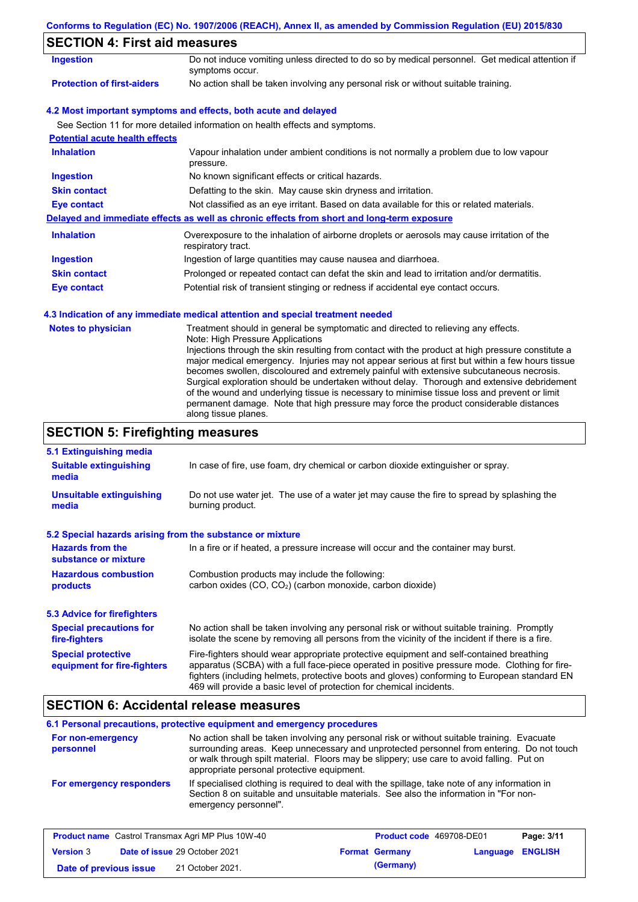|                                                                   | Conforms to Regulation (EC) No. 1907/2006 (REACH), Annex II, as amended by Commission Regulation (EU) 2015/830                                                                                                                                                                                                                                                                                                                                                                                                                                                                                                                                                                                                                             |
|-------------------------------------------------------------------|--------------------------------------------------------------------------------------------------------------------------------------------------------------------------------------------------------------------------------------------------------------------------------------------------------------------------------------------------------------------------------------------------------------------------------------------------------------------------------------------------------------------------------------------------------------------------------------------------------------------------------------------------------------------------------------------------------------------------------------------|
| <b>SECTION 4: First aid measures</b>                              |                                                                                                                                                                                                                                                                                                                                                                                                                                                                                                                                                                                                                                                                                                                                            |
| <b>Ingestion</b>                                                  | Do not induce vomiting unless directed to do so by medical personnel. Get medical attention if<br>symptoms occur.                                                                                                                                                                                                                                                                                                                                                                                                                                                                                                                                                                                                                          |
| <b>Protection of first-aiders</b>                                 | No action shall be taken involving any personal risk or without suitable training.                                                                                                                                                                                                                                                                                                                                                                                                                                                                                                                                                                                                                                                         |
|                                                                   | 4.2 Most important symptoms and effects, both acute and delayed                                                                                                                                                                                                                                                                                                                                                                                                                                                                                                                                                                                                                                                                            |
|                                                                   | See Section 11 for more detailed information on health effects and symptoms.                                                                                                                                                                                                                                                                                                                                                                                                                                                                                                                                                                                                                                                               |
| <b>Potential acute health effects</b>                             |                                                                                                                                                                                                                                                                                                                                                                                                                                                                                                                                                                                                                                                                                                                                            |
| <b>Inhalation</b>                                                 | Vapour inhalation under ambient conditions is not normally a problem due to low vapour<br>pressure.                                                                                                                                                                                                                                                                                                                                                                                                                                                                                                                                                                                                                                        |
| <b>Ingestion</b>                                                  | No known significant effects or critical hazards.                                                                                                                                                                                                                                                                                                                                                                                                                                                                                                                                                                                                                                                                                          |
| <b>Skin contact</b>                                               | Defatting to the skin. May cause skin dryness and irritation.                                                                                                                                                                                                                                                                                                                                                                                                                                                                                                                                                                                                                                                                              |
| <b>Eye contact</b>                                                | Not classified as an eye irritant. Based on data available for this or related materials.                                                                                                                                                                                                                                                                                                                                                                                                                                                                                                                                                                                                                                                  |
|                                                                   | Delayed and immediate effects as well as chronic effects from short and long-term exposure                                                                                                                                                                                                                                                                                                                                                                                                                                                                                                                                                                                                                                                 |
| <b>Inhalation</b>                                                 | Overexposure to the inhalation of airborne droplets or aerosols may cause irritation of the<br>respiratory tract.                                                                                                                                                                                                                                                                                                                                                                                                                                                                                                                                                                                                                          |
| <b>Ingestion</b>                                                  | Ingestion of large quantities may cause nausea and diarrhoea.                                                                                                                                                                                                                                                                                                                                                                                                                                                                                                                                                                                                                                                                              |
| <b>Skin contact</b>                                               | Prolonged or repeated contact can defat the skin and lead to irritation and/or dermatitis.                                                                                                                                                                                                                                                                                                                                                                                                                                                                                                                                                                                                                                                 |
| <b>Eye contact</b>                                                | Potential risk of transient stinging or redness if accidental eye contact occurs.                                                                                                                                                                                                                                                                                                                                                                                                                                                                                                                                                                                                                                                          |
|                                                                   | 4.3 Indication of any immediate medical attention and special treatment needed                                                                                                                                                                                                                                                                                                                                                                                                                                                                                                                                                                                                                                                             |
| <b>Notes to physician</b>                                         | Treatment should in general be symptomatic and directed to relieving any effects.<br>Note: High Pressure Applications<br>Injections through the skin resulting from contact with the product at high pressure constitute a<br>major medical emergency. Injuries may not appear serious at first but within a few hours tissue<br>becomes swollen, discoloured and extremely painful with extensive subcutaneous necrosis.<br>Surgical exploration should be undertaken without delay. Thorough and extensive debridement<br>of the wound and underlying tissue is necessary to minimise tissue loss and prevent or limit<br>permanent damage. Note that high pressure may force the product considerable distances<br>along tissue planes. |
| <b>SECTION 5: Firefighting measures</b>                           |                                                                                                                                                                                                                                                                                                                                                                                                                                                                                                                                                                                                                                                                                                                                            |
| 5.1 Extinguishing media<br><b>Suitable extinguishing</b><br>media | In case of fire, use foam, dry chemical or carbon dioxide extinguisher or spray.                                                                                                                                                                                                                                                                                                                                                                                                                                                                                                                                                                                                                                                           |
| <b>Unsuitable extinguishing</b><br>media                          | Do not use water jet. The use of a water jet may cause the fire to spread by splashing the<br>burning product.                                                                                                                                                                                                                                                                                                                                                                                                                                                                                                                                                                                                                             |
|                                                                   |                                                                                                                                                                                                                                                                                                                                                                                                                                                                                                                                                                                                                                                                                                                                            |

### **5.2 Special hazards arising from the substance or mixture**

| <b>Hazards from the</b><br>substance or mixture                                                                                                                     | In a fire or if heated, a pressure increase will occur and the container may burst.                                                                                                                                                                                                                                                                               |  |  |
|---------------------------------------------------------------------------------------------------------------------------------------------------------------------|-------------------------------------------------------------------------------------------------------------------------------------------------------------------------------------------------------------------------------------------------------------------------------------------------------------------------------------------------------------------|--|--|
| <b>Hazardous combustion</b><br>Combustion products may include the following:<br>carbon oxides (CO, CO <sub>2</sub> ) (carbon monoxide, carbon dioxide)<br>products |                                                                                                                                                                                                                                                                                                                                                                   |  |  |
| 5.3 Advice for firefighters                                                                                                                                         |                                                                                                                                                                                                                                                                                                                                                                   |  |  |
| <b>Special precautions for</b><br>fire-fighters                                                                                                                     | No action shall be taken involving any personal risk or without suitable training. Promptly<br>isolate the scene by removing all persons from the vicinity of the incident if there is a fire.                                                                                                                                                                    |  |  |
| <b>Special protective</b><br>equipment for fire-fighters                                                                                                            | Fire-fighters should wear appropriate protective equipment and self-contained breathing<br>apparatus (SCBA) with a full face-piece operated in positive pressure mode. Clothing for fire-<br>fighters (including helmets, protective boots and gloves) conforming to European standard EN<br>469 will provide a basic level of protection for chemical incidents. |  |  |

# **SECTION 6: Accidental release measures**

### **6.1 Personal precautions, protective equipment and emergency procedures**

| For non-emergency<br>personnel | No action shall be taken involving any personal risk or without suitable training. Evacuate<br>surrounding areas. Keep unnecessary and unprotected personnel from entering. Do not touch<br>or walk through spilt material. Floors may be slippery; use care to avoid falling. Put on<br>appropriate personal protective equipment. |
|--------------------------------|-------------------------------------------------------------------------------------------------------------------------------------------------------------------------------------------------------------------------------------------------------------------------------------------------------------------------------------|
| For emergency responders       | If specialised clothing is required to deal with the spillage, take note of any information in<br>Section 8 on suitable and unsuitable materials. See also the information in "For non-<br>emergency personnel".                                                                                                                    |

|                        | <b>Product name</b> Castrol Transmax Agri MP Plus 10W-40 | <b>Product code</b> 469708-DE01 |                         | Page: 3/11 |
|------------------------|----------------------------------------------------------|---------------------------------|-------------------------|------------|
| <b>Version 3</b>       | <b>Date of issue 29 October 2021</b>                     | <b>Format Germany</b>           | <b>Language ENGLISH</b> |            |
| Date of previous issue | 21 October 2021.                                         | (Germany)                       |                         |            |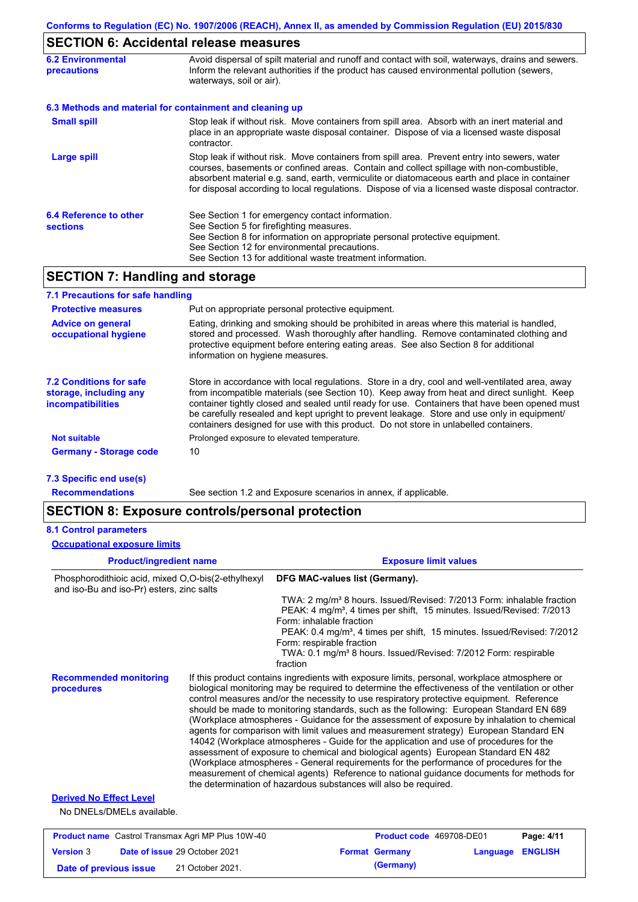### **SECTION 6: Accidental release measures**

| <b>6.2 Environmental</b><br>precautions   | Avoid dispersal of spilt material and runoff and contact with soil, waterways, drains and sewers.<br>Inform the relevant authorities if the product has caused environmental pollution (sewers,<br>waterways, soil or air).                                                                                                                                                                    |  |  |
|-------------------------------------------|------------------------------------------------------------------------------------------------------------------------------------------------------------------------------------------------------------------------------------------------------------------------------------------------------------------------------------------------------------------------------------------------|--|--|
|                                           | 6.3 Methods and material for containment and cleaning up                                                                                                                                                                                                                                                                                                                                       |  |  |
| <b>Small spill</b>                        | Stop leak if without risk. Move containers from spill area. Absorb with an inert material and<br>place in an appropriate waste disposal container. Dispose of via a licensed waste disposal<br>contractor.                                                                                                                                                                                     |  |  |
| <b>Large spill</b>                        | Stop leak if without risk. Move containers from spill area. Prevent entry into sewers, water<br>courses, basements or confined areas. Contain and collect spillage with non-combustible,<br>absorbent material e.g. sand, earth, vermiculite or diatomaceous earth and place in container<br>for disposal according to local regulations. Dispose of via a licensed waste disposal contractor. |  |  |
| 6.4 Reference to other<br><b>sections</b> | See Section 1 for emergency contact information.<br>See Section 5 for firefighting measures.<br>See Section 8 for information on appropriate personal protective equipment.<br>See Section 12 for environmental precautions.<br>See Section 13 for additional waste treatment information.                                                                                                     |  |  |

### **SECTION 7: Handling and storage**

| 7.1 Precautions for safe handling                                                    |                                                                                                                                                                                                                                                                                                                                                                                                                                                                                          |
|--------------------------------------------------------------------------------------|------------------------------------------------------------------------------------------------------------------------------------------------------------------------------------------------------------------------------------------------------------------------------------------------------------------------------------------------------------------------------------------------------------------------------------------------------------------------------------------|
| <b>Protective measures</b>                                                           | Put on appropriate personal protective equipment.                                                                                                                                                                                                                                                                                                                                                                                                                                        |
| <b>Advice on general</b><br>occupational hygiene                                     | Eating, drinking and smoking should be prohibited in areas where this material is handled,<br>stored and processed. Wash thoroughly after handling. Remove contaminated clothing and<br>protective equipment before entering eating areas. See also Section 8 for additional<br>information on hygiene measures.                                                                                                                                                                         |
| <b>7.2 Conditions for safe</b><br>storage, including any<br><b>incompatibilities</b> | Store in accordance with local requiations. Store in a dry, cool and well-ventilated area, away<br>from incompatible materials (see Section 10). Keep away from heat and direct sunlight. Keep<br>container tightly closed and sealed until ready for use. Containers that have been opened must<br>be carefully resealed and kept upright to prevent leakage. Store and use only in equipment/<br>containers designed for use with this product. Do not store in unlabelled containers. |
| <b>Not suitable</b>                                                                  | Prolonged exposure to elevated temperature.                                                                                                                                                                                                                                                                                                                                                                                                                                              |
| <b>Germany - Storage code</b>                                                        | 10                                                                                                                                                                                                                                                                                                                                                                                                                                                                                       |

**7.3 Specific end use(s)**

**Recommendations**

See section 1.2 and Exposure scenarios in annex, if applicable.

### **SECTION 8: Exposure controls/personal protection**

| <b>8.1 Control parameters</b>                                                                   |                                                                                                                                                                                                                                                                                                                                                                                                                   |
|-------------------------------------------------------------------------------------------------|-------------------------------------------------------------------------------------------------------------------------------------------------------------------------------------------------------------------------------------------------------------------------------------------------------------------------------------------------------------------------------------------------------------------|
| <b>Occupational exposure limits</b>                                                             |                                                                                                                                                                                                                                                                                                                                                                                                                   |
| <b>Product/ingredient name</b>                                                                  | <b>Exposure limit values</b>                                                                                                                                                                                                                                                                                                                                                                                      |
| Phosphorodithioic acid, mixed O,O-bis(2-ethylhexyl<br>and iso-Bu and iso-Pr) esters, zinc salts | DFG MAC-values list (Germany).                                                                                                                                                                                                                                                                                                                                                                                    |
|                                                                                                 | TWA: 2 mg/m <sup>3</sup> 8 hours. Issued/Revised: 7/2013 Form: inhalable fraction<br>PEAK: 4 mg/m <sup>3</sup> , 4 times per shift, 15 minutes. Issued/Revised: 7/2013<br>Form: inhalable fraction<br>PEAK: 0.4 mg/m <sup>3</sup> , 4 times per shift, 15 minutes. Issued/Revised: 7/2012<br>Form: respirable fraction<br>TWA: 0.1 mg/m <sup>3</sup> 8 hours. Issued/Revised: 7/2012 Form: respirable<br>fraction |
| <b>Recommended monitoring</b><br>procedures                                                     | If this product contains ingredients with exposure limits, personal, workplace atmosphere or<br>biological monitoring may be required to determine the effectiveness of the ventilation or other<br>control measures and/or the necessity to use respiratory protective equipment. Reference<br>should be made to monitoring standards, such as the following: European Standard EN 689                           |

nits, personal, workplace atmosphere or the effectiveness of the ventilation or other atory protective equipment. Reference ne following: European Standard EN 689 (Workplace atmospheres - Guidance for the assessment of exposure by inhalation to chemical agents for comparison with limit values and measurement strategy) European Standard EN 14042 (Workplace atmospheres - Guide for the application and use of procedures for the assessment of exposure to chemical and biological agents) European Standard EN 482 (Workplace atmospheres - General requirements for the performance of procedures for the measurement of chemical agents) Reference to national guidance documents for methods for the determination of hazardous substances will also be required.

### **Derived No Effect Level**

No DNELs/DMELs available.

|                        | <b>Product name</b> Castrol Transmax Agri MP Plus 10W-40 | <b>Product code</b> 469708-DE01 |                         | Page: 4/11 |
|------------------------|----------------------------------------------------------|---------------------------------|-------------------------|------------|
| <b>Version 3</b>       | <b>Date of issue 29 October 2021</b>                     | <b>Format Germany</b>           | <b>Language ENGLISH</b> |            |
| Date of previous issue | 21 October 2021.                                         | (Germany)                       |                         |            |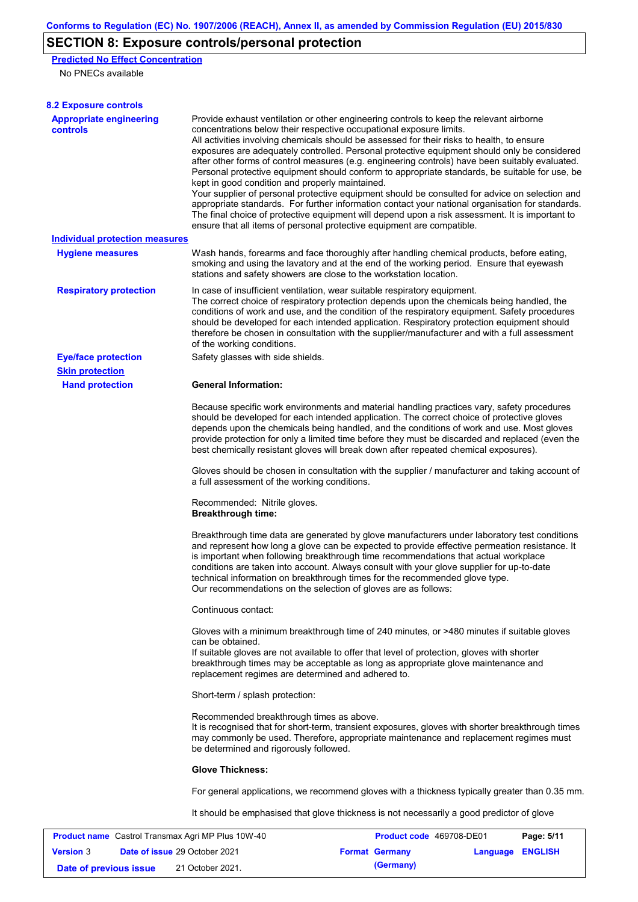# **SECTION 8: Exposure controls/personal protection**

**Predicted No Effect Concentration**

No PNECs available

| <b>8.2 Exposure controls</b>                             |                                                                                                                                                                                                                                                                                                                                                                                                                                                                                  |                                                                                                                                                                                                                                                                                                                                                                                                                                                                                                                                                                                                                                                                                                                                                                                                                                                                                                                                                      |  |  |  |  |
|----------------------------------------------------------|----------------------------------------------------------------------------------------------------------------------------------------------------------------------------------------------------------------------------------------------------------------------------------------------------------------------------------------------------------------------------------------------------------------------------------------------------------------------------------|------------------------------------------------------------------------------------------------------------------------------------------------------------------------------------------------------------------------------------------------------------------------------------------------------------------------------------------------------------------------------------------------------------------------------------------------------------------------------------------------------------------------------------------------------------------------------------------------------------------------------------------------------------------------------------------------------------------------------------------------------------------------------------------------------------------------------------------------------------------------------------------------------------------------------------------------------|--|--|--|--|
| <b>Appropriate engineering</b><br>controls               | kept in good condition and properly maintained.                                                                                                                                                                                                                                                                                                                                                                                                                                  | Provide exhaust ventilation or other engineering controls to keep the relevant airborne<br>concentrations below their respective occupational exposure limits.<br>All activities involving chemicals should be assessed for their risks to health, to ensure<br>exposures are adequately controlled. Personal protective equipment should only be considered<br>after other forms of control measures (e.g. engineering controls) have been suitably evaluated.<br>Personal protective equipment should conform to appropriate standards, be suitable for use, be<br>Your supplier of personal protective equipment should be consulted for advice on selection and<br>appropriate standards. For further information contact your national organisation for standards.<br>The final choice of protective equipment will depend upon a risk assessment. It is important to<br>ensure that all items of personal protective equipment are compatible. |  |  |  |  |
| <b>Individual protection measures</b>                    |                                                                                                                                                                                                                                                                                                                                                                                                                                                                                  |                                                                                                                                                                                                                                                                                                                                                                                                                                                                                                                                                                                                                                                                                                                                                                                                                                                                                                                                                      |  |  |  |  |
| <b>Hygiene measures</b>                                  | stations and safety showers are close to the workstation location.                                                                                                                                                                                                                                                                                                                                                                                                               | Wash hands, forearms and face thoroughly after handling chemical products, before eating,<br>smoking and using the lavatory and at the end of the working period. Ensure that eyewash                                                                                                                                                                                                                                                                                                                                                                                                                                                                                                                                                                                                                                                                                                                                                                |  |  |  |  |
| <b>Respiratory protection</b>                            | of the working conditions.                                                                                                                                                                                                                                                                                                                                                                                                                                                       | In case of insufficient ventilation, wear suitable respiratory equipment.<br>The correct choice of respiratory protection depends upon the chemicals being handled, the<br>conditions of work and use, and the condition of the respiratory equipment. Safety procedures<br>should be developed for each intended application. Respiratory protection equipment should<br>therefore be chosen in consultation with the supplier/manufacturer and with a full assessment                                                                                                                                                                                                                                                                                                                                                                                                                                                                              |  |  |  |  |
| <b>Eye/face protection</b>                               | Safety glasses with side shields.                                                                                                                                                                                                                                                                                                                                                                                                                                                |                                                                                                                                                                                                                                                                                                                                                                                                                                                                                                                                                                                                                                                                                                                                                                                                                                                                                                                                                      |  |  |  |  |
| <b>Skin protection</b>                                   |                                                                                                                                                                                                                                                                                                                                                                                                                                                                                  |                                                                                                                                                                                                                                                                                                                                                                                                                                                                                                                                                                                                                                                                                                                                                                                                                                                                                                                                                      |  |  |  |  |
| <b>Hand protection</b>                                   | <b>General Information:</b>                                                                                                                                                                                                                                                                                                                                                                                                                                                      |                                                                                                                                                                                                                                                                                                                                                                                                                                                                                                                                                                                                                                                                                                                                                                                                                                                                                                                                                      |  |  |  |  |
|                                                          | Because specific work environments and material handling practices vary, safety procedures<br>should be developed for each intended application. The correct choice of protective gloves<br>depends upon the chemicals being handled, and the conditions of work and use. Most gloves<br>provide protection for only a limited time before they must be discarded and replaced (even the<br>best chemically resistant gloves will break down after repeated chemical exposures). |                                                                                                                                                                                                                                                                                                                                                                                                                                                                                                                                                                                                                                                                                                                                                                                                                                                                                                                                                      |  |  |  |  |
|                                                          | Gloves should be chosen in consultation with the supplier / manufacturer and taking account of<br>a full assessment of the working conditions.                                                                                                                                                                                                                                                                                                                                   |                                                                                                                                                                                                                                                                                                                                                                                                                                                                                                                                                                                                                                                                                                                                                                                                                                                                                                                                                      |  |  |  |  |
|                                                          | Recommended: Nitrile gloves.<br><b>Breakthrough time:</b>                                                                                                                                                                                                                                                                                                                                                                                                                        |                                                                                                                                                                                                                                                                                                                                                                                                                                                                                                                                                                                                                                                                                                                                                                                                                                                                                                                                                      |  |  |  |  |
|                                                          | Our recommendations on the selection of gloves are as follows:                                                                                                                                                                                                                                                                                                                                                                                                                   | Breakthrough time data are generated by glove manufacturers under laboratory test conditions<br>and represent how long a glove can be expected to provide effective permeation resistance. It<br>is important when following breakthrough time recommendations that actual workplace<br>conditions are taken into account. Always consult with your glove supplier for up-to-date<br>technical information on breakthrough times for the recommended glove type.                                                                                                                                                                                                                                                                                                                                                                                                                                                                                     |  |  |  |  |
|                                                          | Continuous contact:                                                                                                                                                                                                                                                                                                                                                                                                                                                              |                                                                                                                                                                                                                                                                                                                                                                                                                                                                                                                                                                                                                                                                                                                                                                                                                                                                                                                                                      |  |  |  |  |
|                                                          | can be obtained.<br>replacement regimes are determined and adhered to.                                                                                                                                                                                                                                                                                                                                                                                                           | Gloves with a minimum breakthrough time of 240 minutes, or >480 minutes if suitable gloves<br>If suitable gloves are not available to offer that level of protection, gloves with shorter<br>breakthrough times may be acceptable as long as appropriate glove maintenance and                                                                                                                                                                                                                                                                                                                                                                                                                                                                                                                                                                                                                                                                       |  |  |  |  |
|                                                          | Short-term / splash protection:                                                                                                                                                                                                                                                                                                                                                                                                                                                  |                                                                                                                                                                                                                                                                                                                                                                                                                                                                                                                                                                                                                                                                                                                                                                                                                                                                                                                                                      |  |  |  |  |
|                                                          | Recommended breakthrough times as above.<br>be determined and rigorously followed.                                                                                                                                                                                                                                                                                                                                                                                               | It is recognised that for short-term, transient exposures, gloves with shorter breakthrough times<br>may commonly be used. Therefore, appropriate maintenance and replacement regimes must                                                                                                                                                                                                                                                                                                                                                                                                                                                                                                                                                                                                                                                                                                                                                           |  |  |  |  |
|                                                          | <b>Glove Thickness:</b>                                                                                                                                                                                                                                                                                                                                                                                                                                                          |                                                                                                                                                                                                                                                                                                                                                                                                                                                                                                                                                                                                                                                                                                                                                                                                                                                                                                                                                      |  |  |  |  |
|                                                          |                                                                                                                                                                                                                                                                                                                                                                                                                                                                                  | For general applications, we recommend gloves with a thickness typically greater than 0.35 mm.                                                                                                                                                                                                                                                                                                                                                                                                                                                                                                                                                                                                                                                                                                                                                                                                                                                       |  |  |  |  |
|                                                          |                                                                                                                                                                                                                                                                                                                                                                                                                                                                                  | It should be emphasised that glove thickness is not necessarily a good predictor of glove                                                                                                                                                                                                                                                                                                                                                                                                                                                                                                                                                                                                                                                                                                                                                                                                                                                            |  |  |  |  |
| <b>Product name</b> Castrol Transmax Agri MP Plus 10W-40 |                                                                                                                                                                                                                                                                                                                                                                                                                                                                                  | Product code 469708-DE01<br>Page: 5/11                                                                                                                                                                                                                                                                                                                                                                                                                                                                                                                                                                                                                                                                                                                                                                                                                                                                                                               |  |  |  |  |
| <b>Version 3</b>                                         | Date of issue 29 October 2021                                                                                                                                                                                                                                                                                                                                                                                                                                                    | <b>ENGLISH</b><br><b>Format Germany</b><br>Language                                                                                                                                                                                                                                                                                                                                                                                                                                                                                                                                                                                                                                                                                                                                                                                                                                                                                                  |  |  |  |  |

**Date of previous issue** 21 October 2021. **(Germany)**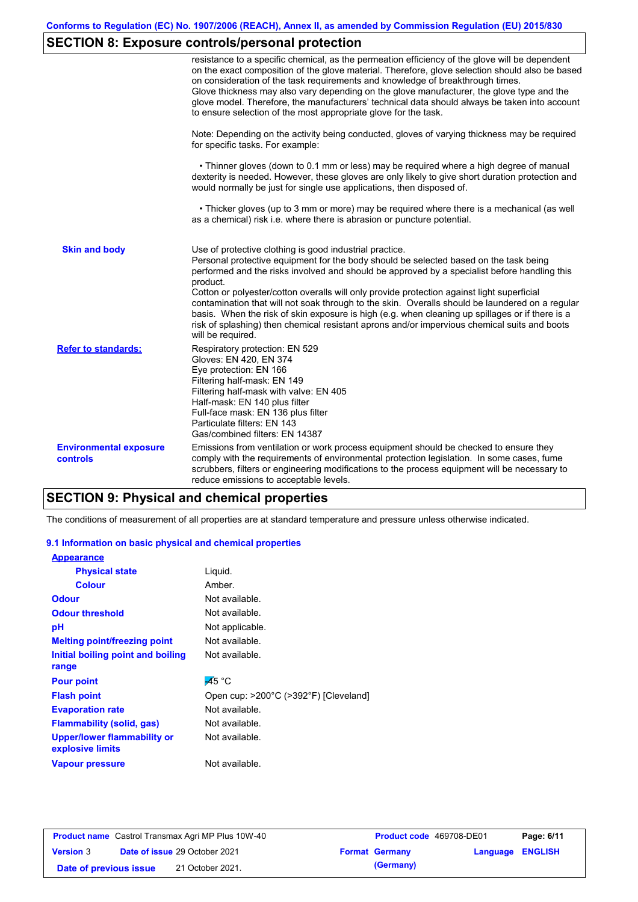# **SECTION 8: Exposure controls/personal protection**

|                                           | resistance to a specific chemical, as the permeation efficiency of the glove will be dependent<br>on the exact composition of the glove material. Therefore, glove selection should also be based<br>on consideration of the task requirements and knowledge of breakthrough times.<br>Glove thickness may also vary depending on the glove manufacturer, the glove type and the<br>glove model. Therefore, the manufacturers' technical data should always be taken into account<br>to ensure selection of the most appropriate glove for the task.                                                                                                                                  |
|-------------------------------------------|---------------------------------------------------------------------------------------------------------------------------------------------------------------------------------------------------------------------------------------------------------------------------------------------------------------------------------------------------------------------------------------------------------------------------------------------------------------------------------------------------------------------------------------------------------------------------------------------------------------------------------------------------------------------------------------|
|                                           | Note: Depending on the activity being conducted, gloves of varying thickness may be required<br>for specific tasks. For example:                                                                                                                                                                                                                                                                                                                                                                                                                                                                                                                                                      |
|                                           | • Thinner gloves (down to 0.1 mm or less) may be required where a high degree of manual<br>dexterity is needed. However, these gloves are only likely to give short duration protection and<br>would normally be just for single use applications, then disposed of.                                                                                                                                                                                                                                                                                                                                                                                                                  |
|                                           | • Thicker gloves (up to 3 mm or more) may be required where there is a mechanical (as well<br>as a chemical) risk i.e. where there is abrasion or puncture potential.                                                                                                                                                                                                                                                                                                                                                                                                                                                                                                                 |
| <b>Skin and body</b>                      | Use of protective clothing is good industrial practice.<br>Personal protective equipment for the body should be selected based on the task being<br>performed and the risks involved and should be approved by a specialist before handling this<br>product.<br>Cotton or polyester/cotton overalls will only provide protection against light superficial<br>contamination that will not soak through to the skin. Overalls should be laundered on a regular<br>basis. When the risk of skin exposure is high (e.g. when cleaning up spillages or if there is a<br>risk of splashing) then chemical resistant aprons and/or impervious chemical suits and boots<br>will be required. |
| <b>Refer to standards:</b>                | Respiratory protection: EN 529<br>Gloves: EN 420, EN 374<br>Eye protection: EN 166<br>Filtering half-mask: EN 149<br>Filtering half-mask with valve: EN 405<br>Half-mask: EN 140 plus filter<br>Full-face mask: EN 136 plus filter<br>Particulate filters: EN 143<br>Gas/combined filters: EN 14387                                                                                                                                                                                                                                                                                                                                                                                   |
| <b>Environmental exposure</b><br>controls | Emissions from ventilation or work process equipment should be checked to ensure they<br>comply with the requirements of environmental protection legislation. In some cases, fume<br>scrubbers, filters or engineering modifications to the process equipment will be necessary to<br>reduce emissions to acceptable levels.                                                                                                                                                                                                                                                                                                                                                         |

### **SECTION 9: Physical and chemical properties**

The conditions of measurement of all properties are at standard temperature and pressure unless otherwise indicated.

### **9.1 Information on basic physical and chemical properties**

| <b>Appearance</b>                                      |                                       |
|--------------------------------------------------------|---------------------------------------|
| <b>Physical state</b>                                  | Liguid.                               |
| <b>Colour</b>                                          | Amber.                                |
| <b>Odour</b>                                           | Not available.                        |
| <b>Odour threshold</b>                                 | Not available.                        |
| рH                                                     | Not applicable.                       |
| <b>Melting point/freezing point</b>                    | Not available.                        |
| Initial boiling point and boiling                      | Not available.                        |
| range                                                  |                                       |
| <b>Pour point</b>                                      | $\overline{A}5^{\circ}$ C             |
| <b>Flash point</b>                                     | Open cup: >200°C (>392°F) [Cleveland] |
| <b>Evaporation rate</b>                                | Not available.                        |
| <b>Flammability (solid, gas)</b>                       | Not available.                        |
| <b>Upper/lower flammability or</b><br>explosive limits | Not available.                        |
| <b>Vapour pressure</b>                                 | Not available.                        |

| <b>Product name</b> Castrol Transmax Agri MP Plus 10W-40 |  | <b>Product code</b> 469708-DE01      |  | Page: 6/11            |                         |  |
|----------------------------------------------------------|--|--------------------------------------|--|-----------------------|-------------------------|--|
| <b>Version 3</b>                                         |  | <b>Date of issue 29 October 2021</b> |  | <b>Format Germany</b> | <b>Language ENGLISH</b> |  |
| Date of previous issue                                   |  | 21 October 2021.                     |  | (Germany)             |                         |  |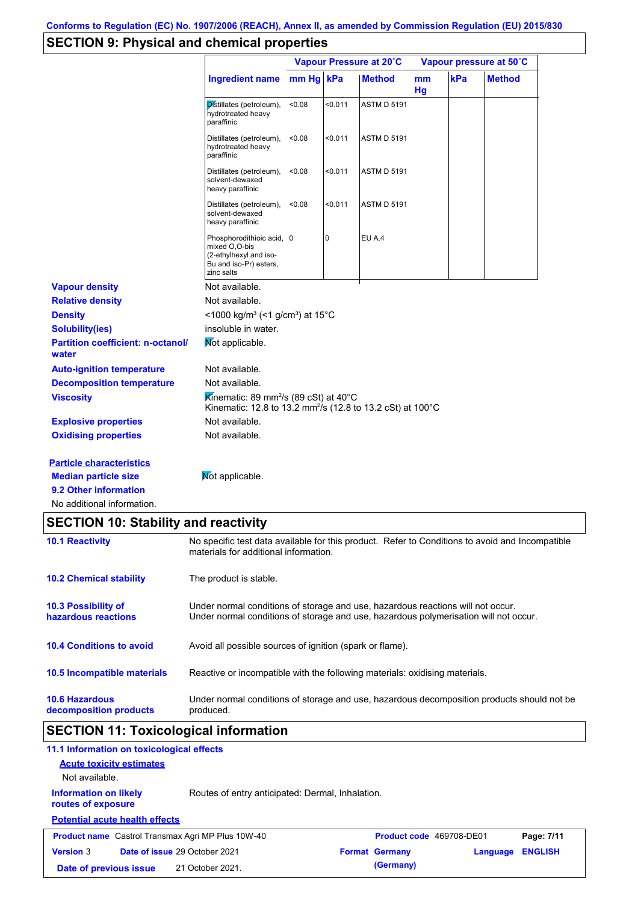# **SECTION 9: Physical and chemical properties**

|                                                   |                                                                                                                                        | Vapour Pressure at 20°C |         |                    | Vapour pressure at 50°C |     |               |
|---------------------------------------------------|----------------------------------------------------------------------------------------------------------------------------------------|-------------------------|---------|--------------------|-------------------------|-----|---------------|
|                                                   | <b>Ingredient name</b>                                                                                                                 | mm Hg                   | kPa     | <b>Method</b>      | mm<br>Hg                | kPa | <b>Method</b> |
|                                                   | Distillates (petroleum),<br>hydrotreated heavy<br>paraffinic                                                                           | < 0.08                  | < 0.011 | <b>ASTM D 5191</b> |                         |     |               |
|                                                   | Distillates (petroleum),<br>hydrotreated heavy<br>paraffinic                                                                           | < 0.08                  | < 0.011 | <b>ASTM D 5191</b> |                         |     |               |
|                                                   | Distillates (petroleum),<br>solvent-dewaxed<br>heavy paraffinic                                                                        | < 0.08                  | < 0.011 | <b>ASTM D 5191</b> |                         |     |               |
|                                                   | Distillates (petroleum),<br>solvent-dewaxed<br>heavy paraffinic                                                                        | < 0.08                  | < 0.011 | <b>ASTM D 5191</b> |                         |     |               |
|                                                   | Phosphorodithioic acid, 0<br>mixed O,O-bis<br>(2-ethylhexyl and iso-<br>Bu and iso-Pr) esters,<br>zinc salts                           |                         | 0       | <b>EU A.4</b>      |                         |     |               |
| <b>Vapour density</b>                             | Not available.                                                                                                                         |                         |         |                    |                         |     |               |
| <b>Relative density</b>                           | Not available.                                                                                                                         |                         |         |                    |                         |     |               |
| <b>Density</b>                                    | <1000 kg/m <sup>3</sup> (<1 g/cm <sup>3</sup> ) at 15 <sup>°</sup> C                                                                   |                         |         |                    |                         |     |               |
| <b>Solubility(ies)</b>                            | insoluble in water.                                                                                                                    |                         |         |                    |                         |     |               |
| <b>Partition coefficient: n-octanol/</b><br>water | Mot applicable.                                                                                                                        |                         |         |                    |                         |     |               |
| <b>Auto-ignition temperature</b>                  | Not available.                                                                                                                         |                         |         |                    |                         |     |               |
| <b>Decomposition temperature</b>                  | Not available.                                                                                                                         |                         |         |                    |                         |     |               |
| <b>Viscosity</b>                                  | Kinematic: 89 mm <sup>2</sup> /s (89 cSt) at 40 $^{\circ}$ C<br>Kinematic: 12.8 to 13.2 mm <sup>2</sup> /s (12.8 to 13.2 cSt) at 100°C |                         |         |                    |                         |     |               |
| <b>Explosive properties</b>                       | Not available.                                                                                                                         |                         |         |                    |                         |     |               |
| <b>Oxidising properties</b>                       | Not available.                                                                                                                         |                         |         |                    |                         |     |               |
| <b>Particle characteristics</b>                   |                                                                                                                                        |                         |         |                    |                         |     |               |
| <b>Median particle size</b>                       | Not applicable.                                                                                                                        |                         |         |                    |                         |     |               |
| 9.2 Other information                             |                                                                                                                                        |                         |         |                    |                         |     |               |
| No additional information.                        |                                                                                                                                        |                         |         |                    |                         |     |               |

|  |  | <b>SECTION 10: Stability and reactivity</b> |  |
|--|--|---------------------------------------------|--|
|--|--|---------------------------------------------|--|

| <b>10.1 Reactivity</b>                            | No specific test data available for this product. Refer to Conditions to avoid and Incompatible<br>materials for additional information.                                |
|---------------------------------------------------|-------------------------------------------------------------------------------------------------------------------------------------------------------------------------|
| <b>10.2 Chemical stability</b>                    | The product is stable.                                                                                                                                                  |
| <b>10.3 Possibility of</b><br>hazardous reactions | Under normal conditions of storage and use, hazardous reactions will not occur.<br>Under normal conditions of storage and use, hazardous polymerisation will not occur. |
| <b>10.4 Conditions to avoid</b>                   | Avoid all possible sources of ignition (spark or flame).                                                                                                                |
| 10.5 Incompatible materials                       | Reactive or incompatible with the following materials: oxidising materials.                                                                                             |
| <b>10.6 Hazardous</b><br>decomposition products   | Under normal conditions of storage and use, hazardous decomposition products should not be<br>produced.                                                                 |

# **SECTION 11: Toxicological information**

| 11.1 Information on toxicological effects                |                                                  |                          |          |                |
|----------------------------------------------------------|--------------------------------------------------|--------------------------|----------|----------------|
| <b>Acute toxicity estimates</b>                          |                                                  |                          |          |                |
| Not available.                                           |                                                  |                          |          |                |
| <b>Information on likely</b><br>routes of exposure       | Routes of entry anticipated: Dermal, Inhalation. |                          |          |                |
| <b>Potential acute health effects</b>                    |                                                  |                          |          |                |
| <b>Product name</b> Castrol Transmax Agri MP Plus 10W-40 |                                                  | Product code 469708-DE01 |          | Page: 7/11     |
| <b>Version 3</b><br><b>Date of issue 29 October 2021</b> |                                                  | <b>Format Germany</b>    | Language | <b>ENGLISH</b> |
| Date of previous issue                                   | 21 October 2021.                                 | (Germany)                |          |                |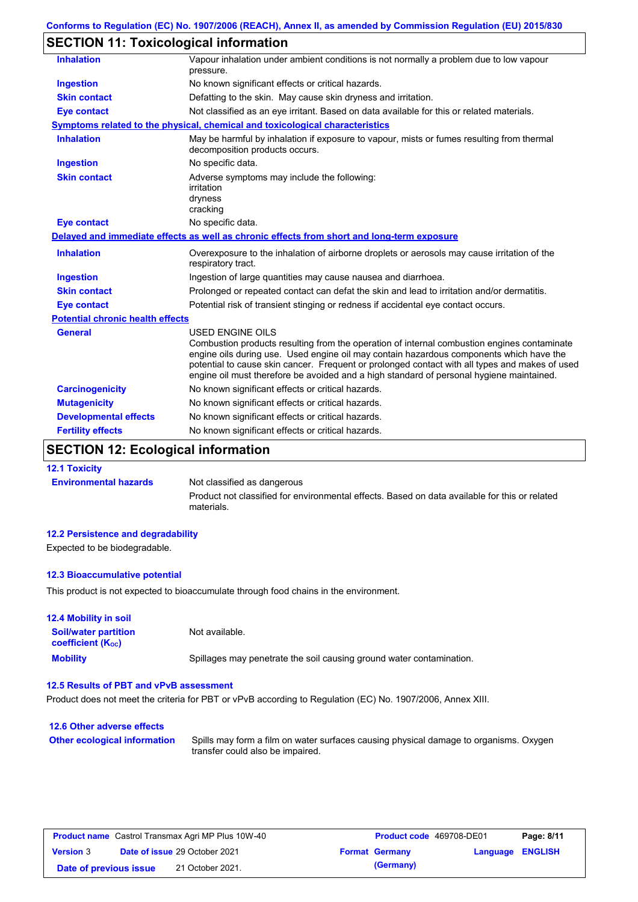# **SECTION 11: Toxicological information**

| <b>Inhalation</b>                       | Vapour inhalation under ambient conditions is not normally a problem due to low vapour<br>pressure.                                                                                                                                                                                                                                                                                                             |
|-----------------------------------------|-----------------------------------------------------------------------------------------------------------------------------------------------------------------------------------------------------------------------------------------------------------------------------------------------------------------------------------------------------------------------------------------------------------------|
| <b>Ingestion</b>                        | No known significant effects or critical hazards.                                                                                                                                                                                                                                                                                                                                                               |
| <b>Skin contact</b>                     | Defatting to the skin. May cause skin dryness and irritation.                                                                                                                                                                                                                                                                                                                                                   |
| <b>Eye contact</b>                      | Not classified as an eye irritant. Based on data available for this or related materials.                                                                                                                                                                                                                                                                                                                       |
|                                         | <b>Symptoms related to the physical, chemical and toxicological characteristics</b>                                                                                                                                                                                                                                                                                                                             |
| <b>Inhalation</b>                       | May be harmful by inhalation if exposure to vapour, mists or fumes resulting from thermal<br>decomposition products occurs.                                                                                                                                                                                                                                                                                     |
| <b>Ingestion</b>                        | No specific data.                                                                                                                                                                                                                                                                                                                                                                                               |
| <b>Skin contact</b>                     | Adverse symptoms may include the following:<br>irritation<br>dryness<br>cracking                                                                                                                                                                                                                                                                                                                                |
| <b>Eye contact</b>                      | No specific data.                                                                                                                                                                                                                                                                                                                                                                                               |
|                                         | Delayed and immediate effects as well as chronic effects from short and long-term exposure                                                                                                                                                                                                                                                                                                                      |
| <b>Inhalation</b>                       | Overexposure to the inhalation of airborne droplets or aerosols may cause irritation of the<br>respiratory tract.                                                                                                                                                                                                                                                                                               |
| <b>Ingestion</b>                        | Ingestion of large quantities may cause nausea and diarrhoea.                                                                                                                                                                                                                                                                                                                                                   |
| <b>Skin contact</b>                     | Prolonged or repeated contact can defat the skin and lead to irritation and/or dermatitis.                                                                                                                                                                                                                                                                                                                      |
| <b>Eye contact</b>                      | Potential risk of transient stinging or redness if accidental eye contact occurs.                                                                                                                                                                                                                                                                                                                               |
| <b>Potential chronic health effects</b> |                                                                                                                                                                                                                                                                                                                                                                                                                 |
| <b>General</b>                          | <b>USED ENGINE OILS</b><br>Combustion products resulting from the operation of internal combustion engines contaminate<br>engine oils during use. Used engine oil may contain hazardous components which have the<br>potential to cause skin cancer. Frequent or prolonged contact with all types and makes of used<br>engine oil must therefore be avoided and a high standard of personal hygiene maintained. |
| <b>Carcinogenicity</b>                  | No known significant effects or critical hazards.                                                                                                                                                                                                                                                                                                                                                               |
| <b>Mutagenicity</b>                     | No known significant effects or critical hazards.                                                                                                                                                                                                                                                                                                                                                               |
| <b>Developmental effects</b>            | No known significant effects or critical hazards.                                                                                                                                                                                                                                                                                                                                                               |
| <b>Fertility effects</b>                | No known significant effects or critical hazards.                                                                                                                                                                                                                                                                                                                                                               |

# **SECTION 12: Ecological information**

### **12.1 Toxicity Environmental hazards** Not classified as dangerous

Product not classified for environmental effects. Based on data available for this or related materials.

### **12.2 Persistence and degradability**

Expected to be biodegradable.

### **12.3 Bioaccumulative potential**

This product is not expected to bioaccumulate through food chains in the environment.

| <b>12.4 Mobility in soil</b>                                  |                                                                      |
|---------------------------------------------------------------|----------------------------------------------------------------------|
| <b>Soil/water partition</b><br>coefficient (K <sub>oc</sub> ) | Not available.                                                       |
| <b>Mobility</b>                                               | Spillages may penetrate the soil causing ground water contamination. |

### **12.5 Results of PBT and vPvB assessment**

Product does not meet the criteria for PBT or vPvB according to Regulation (EC) No. 1907/2006, Annex XIII.

### **12.6 Other adverse effects Other ecological information**

Spills may form a film on water surfaces causing physical damage to organisms. Oxygen transfer could also be impaired.

| <b>Product name</b> Castrol Transmax Agri MP Plus 10W-40 |  |                                      | <b>Product code</b> 469708-DE01 | Page: 8/11              |  |
|----------------------------------------------------------|--|--------------------------------------|---------------------------------|-------------------------|--|
| <b>Version 3</b>                                         |  | <b>Date of issue 29 October 2021</b> | <b>Format Germany</b>           | <b>Language ENGLISH</b> |  |
| Date of previous issue                                   |  | 21 October 2021.                     | (Germany)                       |                         |  |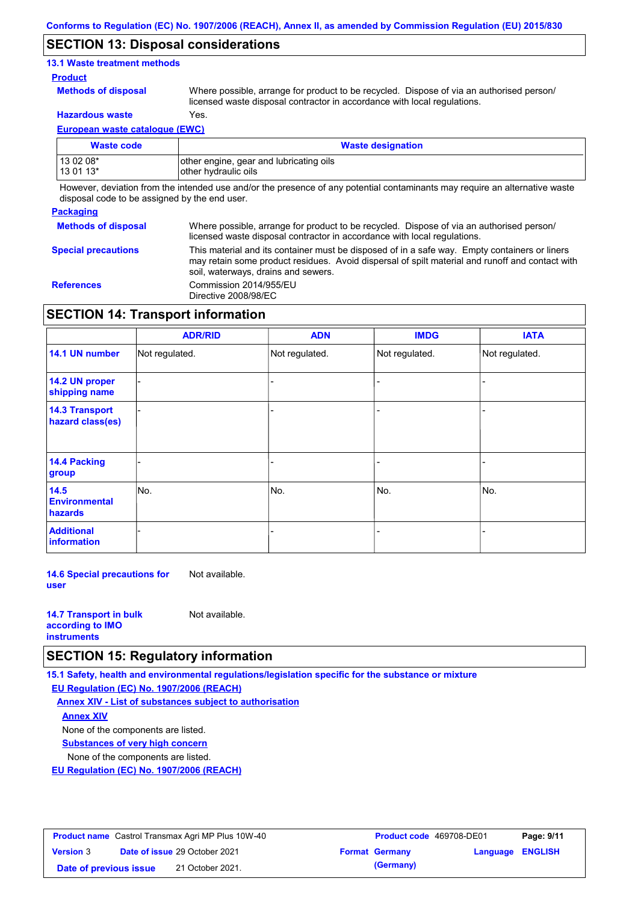### **SECTION 13: Disposal considerations**

### **13.1 Waste treatment methods**

### **Product**

**Methods of disposal**

Where possible, arrange for product to be recycled. Dispose of via an authorised person/ licensed waste disposal contractor in accordance with local regulations.

**Hazardous waste** Yes.

**European waste catalogue (EWC)**

| <b>Waste code</b> | <b>Waste designation</b>                 |
|-------------------|------------------------------------------|
| 13 02 08*         | lother engine, gear and lubricating oils |
| 13 01 13*         | other hydraulic oils                     |

However, deviation from the intended use and/or the presence of any potential contaminants may require an alternative waste disposal code to be assigned by the end user.

# **Packaging Methods of disposal Special precautions**

Where possible, arrange for product to be recycled. Dispose of via an authorised person/ licensed waste disposal contractor in accordance with local regulations. This material and its container must be disposed of in a safe way. Empty containers or liners may retain some product residues. Avoid dispersal of spilt material and runoff and contact with

soil, waterways, drains and sewers. **References** Commission 2014/955/EU Directive 2008/98/EC

### **SECTION 14: Transport information**

|                                           | <b>ADR/RID</b> | <b>ADN</b>     | <b>IMDG</b>    | <b>IATA</b>    |
|-------------------------------------------|----------------|----------------|----------------|----------------|
| 14.1 UN number                            | Not regulated. | Not regulated. | Not regulated. | Not regulated. |
| 14.2 UN proper<br>shipping name           |                |                |                |                |
| <b>14.3 Transport</b><br>hazard class(es) |                |                |                | -              |
| 14.4 Packing<br>group                     |                |                |                |                |
| 14.5<br><b>Environmental</b><br>hazards   | No.            | No.            | No.            | No.            |
| <b>Additional</b><br>information          |                |                |                |                |

**14.6 Special precautions for user** Not available.

| <b>14.7 Transport in bulk</b> | Not available. |
|-------------------------------|----------------|
| according to <b>IMO</b>       |                |
| <b>instruments</b>            |                |

### **SECTION 15: Regulatory information**

**15.1 Safety, health and environmental regulations/legislation specific for the substance or mixture EU Regulation (EC) No. 1907/2006 (REACH)**

**Annex XIV - List of substances subject to authorisation**

**Annex XIV**

None of the components are listed.

**Substances of very high concern**

None of the components are listed.

**EU Regulation (EC) No. 1907/2006 (REACH)**

| <b>Product name</b> Castrol Transmax Agri MP Plus 10W-40 |  |                                      | Product code 469708-DE01 |                       | Page: 9/11       |  |
|----------------------------------------------------------|--|--------------------------------------|--------------------------|-----------------------|------------------|--|
| <b>Version 3</b>                                         |  | <b>Date of issue 29 October 2021</b> |                          | <b>Format Germany</b> | Language ENGLISH |  |
| Date of previous issue                                   |  | 21 October 2021.                     |                          | (Germany)             |                  |  |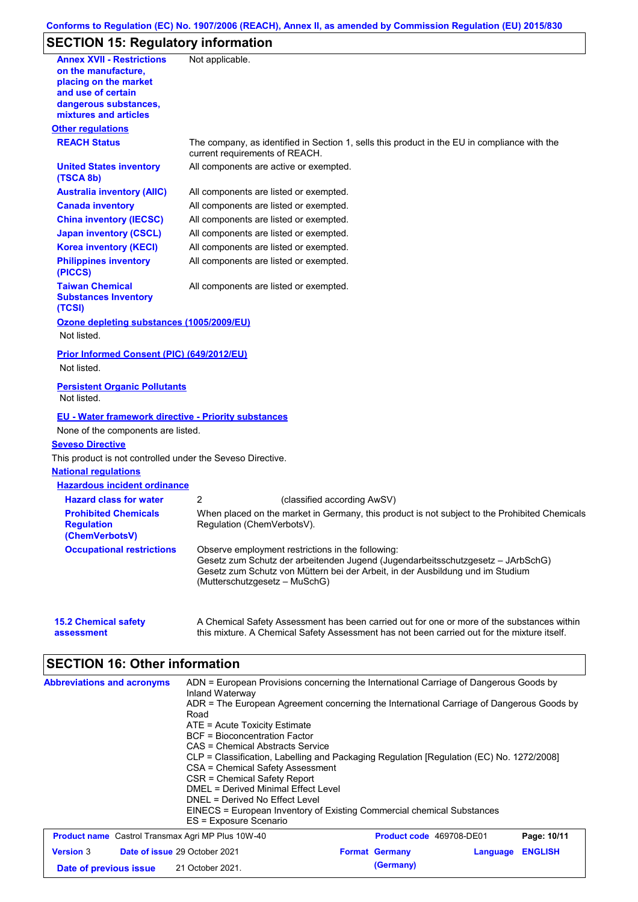### **Conforms to Regulation (EC) No. 1907/2006 (REACH), Annex II, as amended by Commission Regulation (EU) 2015/830**

# **SECTION 15: Regulatory information**

| <b>Annex XVII - Restrictions</b><br>on the manufacture,            | Not applicable.                                                                                                                                                                                    |
|--------------------------------------------------------------------|----------------------------------------------------------------------------------------------------------------------------------------------------------------------------------------------------|
| placing on the market                                              |                                                                                                                                                                                                    |
| and use of certain                                                 |                                                                                                                                                                                                    |
| dangerous substances,<br>mixtures and articles                     |                                                                                                                                                                                                    |
| <b>Other regulations</b>                                           |                                                                                                                                                                                                    |
| <b>REACH Status</b>                                                | The company, as identified in Section 1, sells this product in the EU in compliance with the<br>current requirements of REACH.                                                                     |
| <b>United States inventory</b><br>(TSCA 8b)                        | All components are active or exempted.                                                                                                                                                             |
| <b>Australia inventory (AIIC)</b>                                  | All components are listed or exempted.                                                                                                                                                             |
| <b>Canada inventory</b>                                            | All components are listed or exempted.                                                                                                                                                             |
| <b>China inventory (IECSC)</b>                                     | All components are listed or exempted.                                                                                                                                                             |
| <b>Japan inventory (CSCL)</b>                                      | All components are listed or exempted.                                                                                                                                                             |
| <b>Korea inventory (KECI)</b>                                      | All components are listed or exempted.                                                                                                                                                             |
| <b>Philippines inventory</b><br>(PICCS)                            | All components are listed or exempted.                                                                                                                                                             |
| <b>Taiwan Chemical</b><br><b>Substances Inventory</b><br>(TCSI)    | All components are listed or exempted.                                                                                                                                                             |
| Ozone depleting substances (1005/2009/EU)<br>Not listed.           |                                                                                                                                                                                                    |
| Prior Informed Consent (PIC) (649/2012/EU)                         |                                                                                                                                                                                                    |
| Not listed.                                                        |                                                                                                                                                                                                    |
| <b>Persistent Organic Pollutants</b><br>Not listed.                |                                                                                                                                                                                                    |
| <b>EU - Water framework directive - Priority substances</b>        |                                                                                                                                                                                                    |
| None of the components are listed.                                 |                                                                                                                                                                                                    |
| <b>Seveso Directive</b>                                            |                                                                                                                                                                                                    |
| This product is not controlled under the Seveso Directive.         |                                                                                                                                                                                                    |
| <b>National requlations</b>                                        |                                                                                                                                                                                                    |
| <b>Hazardous incident ordinance</b>                                |                                                                                                                                                                                                    |
| <b>Hazard class for water</b>                                      | 2<br>(classified according AwSV)                                                                                                                                                                   |
| <b>Prohibited Chemicals</b><br><b>Regulation</b><br>(ChemVerbotsV) | When placed on the market in Germany, this product is not subject to the Prohibited Chemicals<br>Regulation (ChemVerbotsV).                                                                        |
| <b>Occupational restrictions</b>                                   | Observe employment restrictions in the following:                                                                                                                                                  |
|                                                                    | Gesetz zum Schutz der arbeitenden Jugend (Jugendarbeitsschutzgesetz - JArbSchG)<br>Gesetz zum Schutz von Müttern bei der Arbeit, in der Ausbildung und im Studium<br>(Mutterschutzgesetz – MuSchG) |
| <b>15.2 Chemical safety</b><br>assessment                          | A Chemical Safety Assessment has been carried out for one or more of the substances within<br>this mixture. A Chemical Safety Assessment has not been carried out for the mixture itself.          |
| <b>SECTION 16: Other information</b>                               |                                                                                                                                                                                                    |
| <b>Abbreviations and acronyms</b>                                  | ADN = European Provisions concerning the International Carriage of Dangerous Goods by<br>Inland Waterway                                                                                           |
|                                                                    | ADR = The European Agreement concerning the International Carriage of Dangerous Goods by<br>Road                                                                                                   |
|                                                                    | ATE = Acute Toxicity Estimate                                                                                                                                                                      |
|                                                                    | <b>BCF</b> = Bioconcentration Factor<br><b>CAS = Chemical Abstracts Service</b>                                                                                                                    |
|                                                                    | CLP = Classification, Labelling and Packaging Regulation [Regulation (EC) No. 1272/2008]                                                                                                           |
|                                                                    | CSA = Chemical Safety Assessment                                                                                                                                                                   |
|                                                                    | CSR = Chemical Safety Report<br><b>DMEL = Derived Minimal Effect Level</b>                                                                                                                         |
|                                                                    | DNEL = Derived No Effect Level                                                                                                                                                                     |

|                        | ES = Exposure Scenario                                   |                          |                         |             |
|------------------------|----------------------------------------------------------|--------------------------|-------------------------|-------------|
|                        | <b>Product name</b> Castrol Transmax Agri MP Plus 10W-40 | Product code 469708-DE01 |                         | Page: 10/11 |
| <b>Version 3</b>       | <b>Date of issue 29 October 2021</b>                     | <b>Format Germany</b>    | <b>Language ENGLISH</b> |             |
| Date of previous issue | 21 October 2021.                                         | (Germany)                |                         |             |

EINECS = European Inventory of Existing Commercial chemical Substances